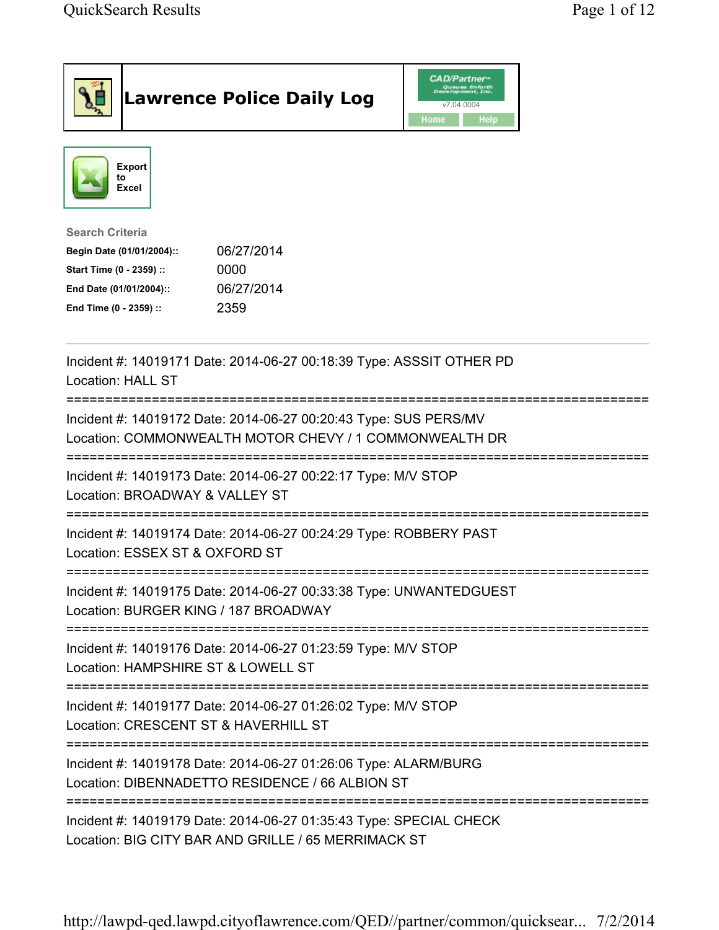|                                                                                                         |                                     | <b>Lawrence Police Daily Log</b>                                                                                           | <b>CAD/Partner</b> "<br>v7.04.0004<br>Home<br>Help |  |
|---------------------------------------------------------------------------------------------------------|-------------------------------------|----------------------------------------------------------------------------------------------------------------------------|----------------------------------------------------|--|
|                                                                                                         | <b>Export</b><br>to<br><b>Excel</b> |                                                                                                                            |                                                    |  |
| <b>Search Criteria</b><br>Start Time (0 - 2359) ::<br>End Date (01/01/2004)::<br>End Time (0 - 2359) :: | Begin Date (01/01/2004)::           | 06/27/2014<br>0000<br>06/27/2014<br>2359                                                                                   |                                                    |  |
|                                                                                                         | Location: HALL ST                   | Incident #: 14019171 Date: 2014-06-27 00:18:39 Type: ASSSIT OTHER PD                                                       |                                                    |  |
|                                                                                                         |                                     | Incident #: 14019172 Date: 2014-06-27 00:20:43 Type: SUS PERS/MV<br>Location: COMMONWEALTH MOTOR CHEVY / 1 COMMONWEALTH DR |                                                    |  |
|                                                                                                         | Location: BROADWAY & VALLEY ST      | Incident #: 14019173 Date: 2014-06-27 00:22:17 Type: M/V STOP                                                              |                                                    |  |
|                                                                                                         | Location: ESSEX ST & OXFORD ST      | Incident #: 14019174 Date: 2014-06-27 00:24:29 Type: ROBBERY PAST                                                          |                                                    |  |
|                                                                                                         |                                     | Incident #: 14019175 Date: 2014-06-27 00:33:38 Type: UNWANTEDGUEST<br>Location: BURGER KING / 187 BROADWAY                 |                                                    |  |
|                                                                                                         |                                     | Incident #: 14019176 Date: 2014-06-27 01:23:59 Type: M/V STOP<br>Location: HAMPSHIRE ST & LOWELL ST                        |                                                    |  |
|                                                                                                         |                                     | Incident #: 14019177 Date: 2014-06-27 01:26:02 Type: M/V STOP<br>Location: CRESCENT ST & HAVERHILL ST                      |                                                    |  |
|                                                                                                         |                                     | Incident #: 14019178 Date: 2014-06-27 01:26:06 Type: ALARM/BURG<br>Location: DIBENNADETTO RESIDENCE / 66 ALBION ST         |                                                    |  |
|                                                                                                         |                                     | Incident #: 14019179 Date: 2014-06-27 01:35:43 Type: SPECIAL CHECK<br>Location: BIG CITY BAR AND GRILLE / 65 MERRIMACK ST  |                                                    |  |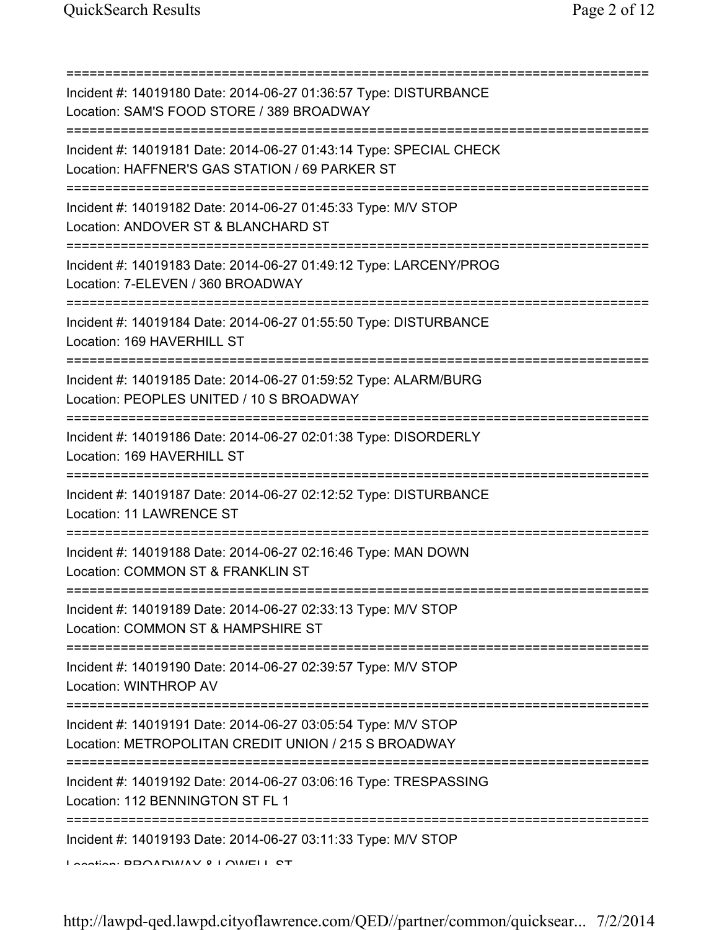=========================================================================== Incident #: 14019180 Date: 2014-06-27 01:36:57 Type: DISTURBANCE Location: SAM'S FOOD STORE / 389 BROADWAY =========================================================================== Incident #: 14019181 Date: 2014-06-27 01:43:14 Type: SPECIAL CHECK Location: HAFFNER'S GAS STATION / 69 PARKER ST =========================================================================== Incident #: 14019182 Date: 2014-06-27 01:45:33 Type: M/V STOP Location: ANDOVER ST & BLANCHARD ST =========================================================================== Incident #: 14019183 Date: 2014-06-27 01:49:12 Type: LARCENY/PROG Location: 7-ELEVEN / 360 BROADWAY =========================================================================== Incident #: 14019184 Date: 2014-06-27 01:55:50 Type: DISTURBANCE Location: 169 HAVERHILL ST =========================================================================== Incident #: 14019185 Date: 2014-06-27 01:59:52 Type: ALARM/BURG Location: PEOPLES UNITED / 10 S BROADWAY =========================================================================== Incident #: 14019186 Date: 2014-06-27 02:01:38 Type: DISORDERLY Location: 169 HAVERHILL ST =========================================================================== Incident #: 14019187 Date: 2014-06-27 02:12:52 Type: DISTURBANCE Location: 11 LAWRENCE ST =========================================================================== Incident #: 14019188 Date: 2014-06-27 02:16:46 Type: MAN DOWN Location: COMMON ST & FRANKLIN ST =========================================================================== Incident #: 14019189 Date: 2014-06-27 02:33:13 Type: M/V STOP Location: COMMON ST & HAMPSHIRE ST =========================================================================== Incident #: 14019190 Date: 2014-06-27 02:39:57 Type: M/V STOP Location: WINTHROP AV =========================================================================== Incident #: 14019191 Date: 2014-06-27 03:05:54 Type: M/V STOP Location: METROPOLITAN CREDIT UNION / 215 S BROADWAY =========================================================================== Incident #: 14019192 Date: 2014-06-27 03:06:16 Type: TRESPASSING Location: 112 BENNINGTON ST FL 1 =========================================================================== Incident #: 14019193 Date: 2014-06-27 03:11:33 Type: M/V STOP Location: BROADWAY & LOWELL ST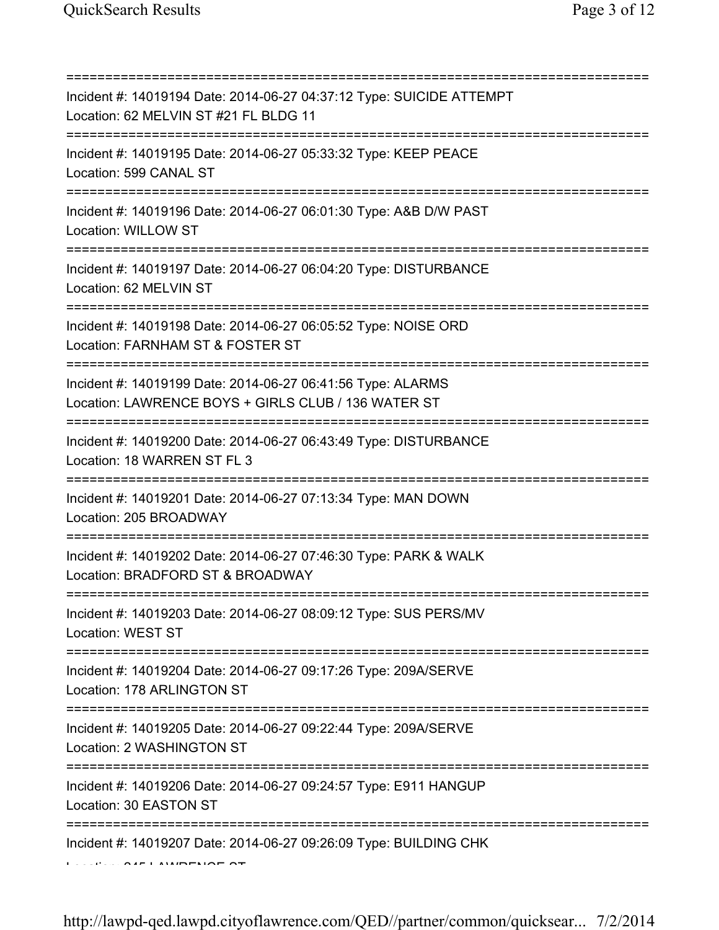| Incident #: 14019194 Date: 2014-06-27 04:37:12 Type: SUICIDE ATTEMPT<br>Location: 62 MELVIN ST #21 FL BLDG 11                            |
|------------------------------------------------------------------------------------------------------------------------------------------|
| Incident #: 14019195 Date: 2014-06-27 05:33:32 Type: KEEP PEACE<br>Location: 599 CANAL ST<br>========================                    |
| Incident #: 14019196 Date: 2014-06-27 06:01:30 Type: A&B D/W PAST<br>Location: WILLOW ST<br>=====================================        |
| Incident #: 14019197 Date: 2014-06-27 06:04:20 Type: DISTURBANCE<br>Location: 62 MELVIN ST<br>================================           |
| Incident #: 14019198 Date: 2014-06-27 06:05:52 Type: NOISE ORD<br>Location: FARNHAM ST & FOSTER ST                                       |
| ==================<br>Incident #: 14019199 Date: 2014-06-27 06:41:56 Type: ALARMS<br>Location: LAWRENCE BOYS + GIRLS CLUB / 136 WATER ST |
| Incident #: 14019200 Date: 2014-06-27 06:43:49 Type: DISTURBANCE<br>Location: 18 WARREN ST FL 3                                          |
| Incident #: 14019201 Date: 2014-06-27 07:13:34 Type: MAN DOWN<br>Location: 205 BROADWAY                                                  |
| Incident #: 14019202 Date: 2014-06-27 07:46:30 Type: PARK & WALK<br>Location: BRADFORD ST & BROADWAY                                     |
| Incident #: 14019203 Date: 2014-06-27 08:09:12 Type: SUS PERS/MV<br><b>Location: WEST ST</b>                                             |
| Incident #: 14019204 Date: 2014-06-27 09:17:26 Type: 209A/SERVE<br>Location: 178 ARLINGTON ST                                            |
| Incident #: 14019205 Date: 2014-06-27 09:22:44 Type: 209A/SERVE<br>Location: 2 WASHINGTON ST                                             |
| Incident #: 14019206 Date: 2014-06-27 09:24:57 Type: E911 HANGUP<br>Location: 30 EASTON ST                                               |
| Incident #: 14019207 Date: 2014-06-27 09:26:09 Type: BUILDING CHK                                                                        |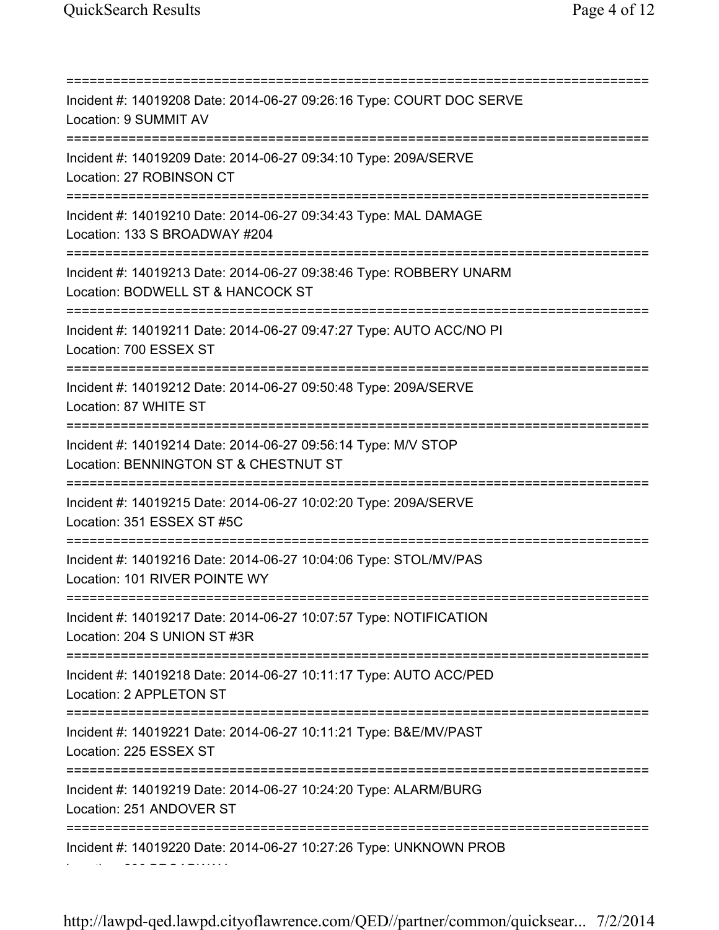=========================================================================== Incident #: 14019208 Date: 2014-06-27 09:26:16 Type: COURT DOC SERVE Location: 9 SUMMIT AV =========================================================================== Incident #: 14019209 Date: 2014-06-27 09:34:10 Type: 209A/SERVE Location: 27 ROBINSON CT =========================================================================== Incident #: 14019210 Date: 2014-06-27 09:34:43 Type: MAL DAMAGE Location: 133 S BROADWAY #204 =========================================================================== Incident #: 14019213 Date: 2014-06-27 09:38:46 Type: ROBBERY UNARM Location: BODWELL ST & HANCOCK ST =========================================================================== Incident #: 14019211 Date: 2014-06-27 09:47:27 Type: AUTO ACC/NO PI Location: 700 ESSEX ST =========================================================================== Incident #: 14019212 Date: 2014-06-27 09:50:48 Type: 209A/SERVE Location: 87 WHITE ST =========================================================================== Incident #: 14019214 Date: 2014-06-27 09:56:14 Type: M/V STOP Location: BENNINGTON ST & CHESTNUT ST =========================================================================== Incident #: 14019215 Date: 2014-06-27 10:02:20 Type: 209A/SERVE Location: 351 ESSEX ST #5C =========================================================================== Incident #: 14019216 Date: 2014-06-27 10:04:06 Type: STOL/MV/PAS Location: 101 RIVER POINTE WY =========================================================================== Incident #: 14019217 Date: 2014-06-27 10:07:57 Type: NOTIFICATION Location: 204 S UNION ST #3R =========================================================================== Incident #: 14019218 Date: 2014-06-27 10:11:17 Type: AUTO ACC/PED Location: 2 APPLETON ST =========================================================================== Incident #: 14019221 Date: 2014-06-27 10:11:21 Type: B&E/MV/PAST Location: 225 ESSEX ST =========================================================================== Incident #: 14019219 Date: 2014-06-27 10:24:20 Type: ALARM/BURG Location: 251 ANDOVER ST =========================================================================== Incident #: 14019220 Date: 2014-06-27 10:27:26 Type: UNKNOWN PROB Location: 296 BROADWAY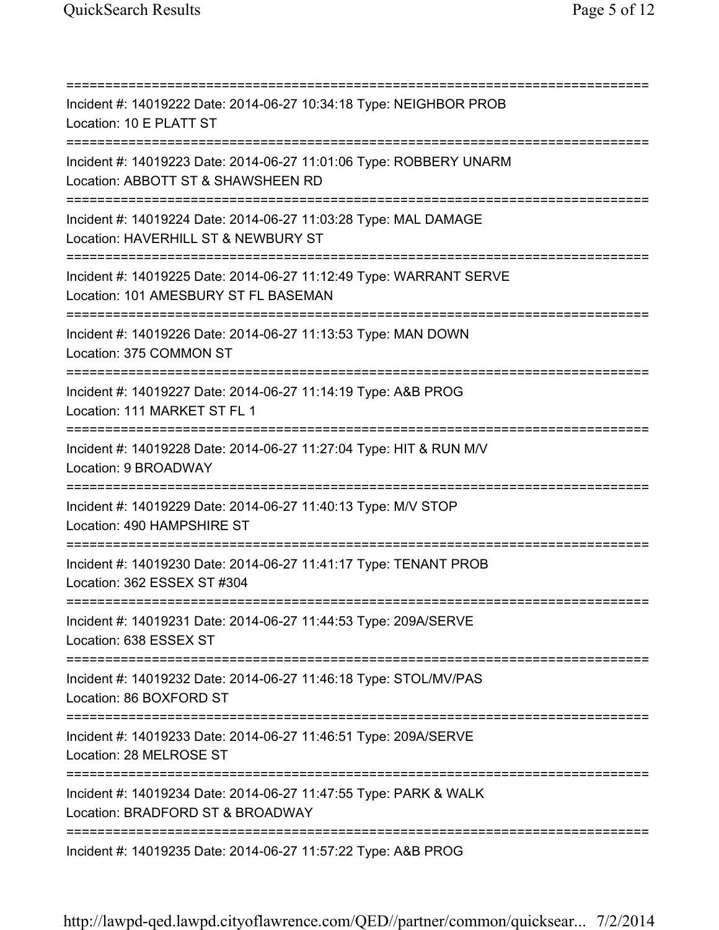=========================================================================== Incident #: 14019222 Date: 2014-06-27 10:34:18 Type: NEIGHBOR PROB Location: 10 E PLATT ST =========================================================================== Incident #: 14019223 Date: 2014-06-27 11:01:06 Type: ROBBERY UNARM Location: ABBOTT ST & SHAWSHEEN RD =========================================================================== Incident #: 14019224 Date: 2014-06-27 11:03:28 Type: MAL DAMAGE Location: HAVERHILL ST & NEWBURY ST =========================================================================== Incident #: 14019225 Date: 2014-06-27 11:12:49 Type: WARRANT SERVE Location: 101 AMESBURY ST FL BASEMAN =========================================================================== Incident #: 14019226 Date: 2014-06-27 11:13:53 Type: MAN DOWN Location: 375 COMMON ST =========================================================================== Incident #: 14019227 Date: 2014-06-27 11:14:19 Type: A&B PROG Location: 111 MARKET ST FL 1 =========================================================================== Incident #: 14019228 Date: 2014-06-27 11:27:04 Type: HIT & RUN M/V Location: 9 BROADWAY =========================================================================== Incident #: 14019229 Date: 2014-06-27 11:40:13 Type: M/V STOP Location: 490 HAMPSHIRE ST =========================================================================== Incident #: 14019230 Date: 2014-06-27 11:41:17 Type: TENANT PROB Location: 362 ESSEX ST #304 =========================================================================== Incident #: 14019231 Date: 2014-06-27 11:44:53 Type: 209A/SERVE Location: 638 ESSEX ST =========================================================================== Incident #: 14019232 Date: 2014-06-27 11:46:18 Type: STOL/MV/PAS Location: 86 BOXFORD ST =========================================================================== Incident #: 14019233 Date: 2014-06-27 11:46:51 Type: 209A/SERVE Location: 28 MELROSE ST =========================================================================== Incident #: 14019234 Date: 2014-06-27 11:47:55 Type: PARK & WALK Location: BRADFORD ST & BROADWAY =========================================================================== Incident #: 14019235 Date: 2014-06-27 11:57:22 Type: A&B PROG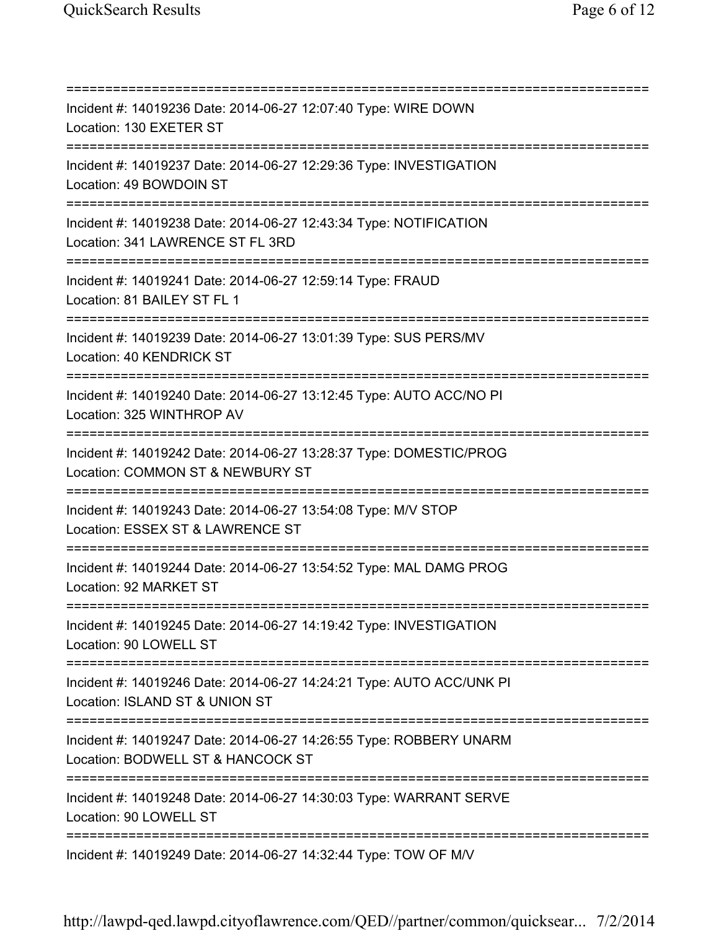=========================================================================== Incident #: 14019236 Date: 2014-06-27 12:07:40 Type: WIRE DOWN Location: 130 EXETER ST =========================================================================== Incident #: 14019237 Date: 2014-06-27 12:29:36 Type: INVESTIGATION Location: 49 BOWDOIN ST =========================================================================== Incident #: 14019238 Date: 2014-06-27 12:43:34 Type: NOTIFICATION Location: 341 LAWRENCE ST FL 3RD =========================================================================== Incident #: 14019241 Date: 2014-06-27 12:59:14 Type: FRAUD Location: 81 BAILEY ST FL 1 =========================================================================== Incident #: 14019239 Date: 2014-06-27 13:01:39 Type: SUS PERS/MV Location: 40 KENDRICK ST =========================================================================== Incident #: 14019240 Date: 2014-06-27 13:12:45 Type: AUTO ACC/NO PI Location: 325 WINTHROP AV =========================================================================== Incident #: 14019242 Date: 2014-06-27 13:28:37 Type: DOMESTIC/PROG Location: COMMON ST & NEWBURY ST =========================================================================== Incident #: 14019243 Date: 2014-06-27 13:54:08 Type: M/V STOP Location: ESSEX ST & LAWRENCE ST =========================================================================== Incident #: 14019244 Date: 2014-06-27 13:54:52 Type: MAL DAMG PROG Location: 92 MARKET ST =========================================================================== Incident #: 14019245 Date: 2014-06-27 14:19:42 Type: INVESTIGATION Location: 90 LOWELL ST =========================================================================== Incident #: 14019246 Date: 2014-06-27 14:24:21 Type: AUTO ACC/UNK PI Location: ISLAND ST & UNION ST =========================================================================== Incident #: 14019247 Date: 2014-06-27 14:26:55 Type: ROBBERY UNARM Location: BODWELL ST & HANCOCK ST =========================================================================== Incident #: 14019248 Date: 2014-06-27 14:30:03 Type: WARRANT SERVE Location: 90 LOWELL ST =========================================================================== Incident #: 14019249 Date: 2014-06-27 14:32:44 Type: TOW OF M/V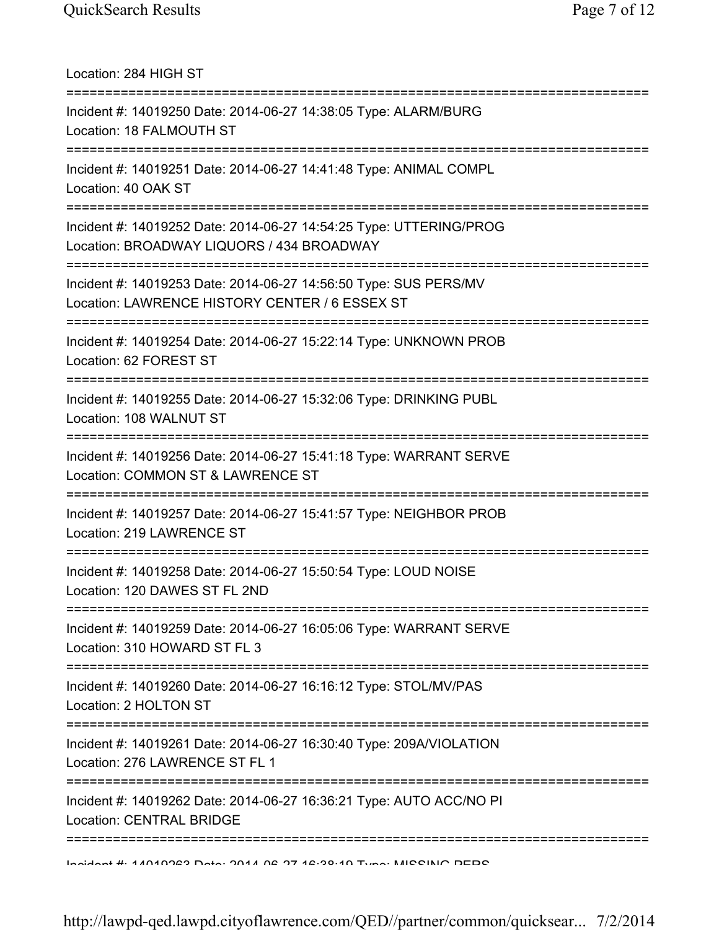Location: 284 HIGH ST =========================================================================== Incident #: 14019250 Date: 2014-06-27 14:38:05 Type: ALARM/BURG Location: 18 FALMOUTH ST =========================================================================== Incident #: 14019251 Date: 2014-06-27 14:41:48 Type: ANIMAL COMPL Location: 40 OAK ST =========================================================================== Incident #: 14019252 Date: 2014-06-27 14:54:25 Type: UTTERING/PROG Location: BROADWAY LIQUORS / 434 BROADWAY =========================================================================== Incident #: 14019253 Date: 2014-06-27 14:56:50 Type: SUS PERS/MV Location: LAWRENCE HISTORY CENTER / 6 ESSEX ST =========================================================================== Incident #: 14019254 Date: 2014-06-27 15:22:14 Type: UNKNOWN PROB Location: 62 FOREST ST =========================================================================== Incident #: 14019255 Date: 2014-06-27 15:32:06 Type: DRINKING PUBL Location: 108 WALNUT ST =========================================================================== Incident #: 14019256 Date: 2014-06-27 15:41:18 Type: WARRANT SERVE Location: COMMON ST & LAWRENCE ST =========================================================================== Incident #: 14019257 Date: 2014-06-27 15:41:57 Type: NEIGHBOR PROB Location: 219 LAWRENCE ST =========================================================================== Incident #: 14019258 Date: 2014-06-27 15:50:54 Type: LOUD NOISE Location: 120 DAWES ST FL 2ND =========================================================================== Incident #: 14019259 Date: 2014-06-27 16:05:06 Type: WARRANT SERVE Location: 310 HOWARD ST FL 3 =========================================================================== Incident #: 14019260 Date: 2014-06-27 16:16:12 Type: STOL/MV/PAS Location: 2 HOLTON ST =========================================================================== Incident #: 14019261 Date: 2014-06-27 16:30:40 Type: 209A/VIOLATION Location: 276 LAWRENCE ST FL 1 =========================================================================== Incident #: 14019262 Date: 2014-06-27 16:36:21 Type: AUTO ACC/NO PI Location: CENTRAL BRIDGE =========================================================================== Incident #: 14019263 Date: 2014 06 27 16:38:19 Type: MISSING PERS

http://lawpd-qed.lawpd.cityoflawrence.com/QED//partner/common/quicksear... 7/2/2014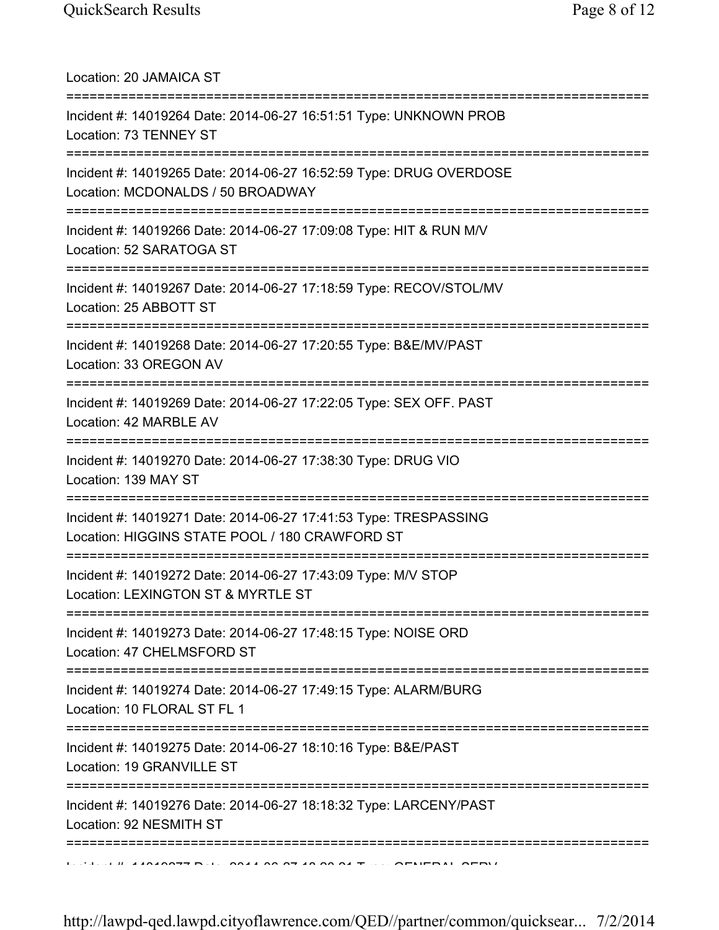Location: 20 JAMAICA ST =========================================================================== Incident #: 14019264 Date: 2014-06-27 16:51:51 Type: UNKNOWN PROB Location: 73 TENNEY ST =========================================================================== Incident #: 14019265 Date: 2014-06-27 16:52:59 Type: DRUG OVERDOSE Location: MCDONALDS / 50 BROADWAY =========================================================================== Incident #: 14019266 Date: 2014-06-27 17:09:08 Type: HIT & RUN M/V Location: 52 SARATOGA ST =========================================================================== Incident #: 14019267 Date: 2014-06-27 17:18:59 Type: RECOV/STOL/MV Location: 25 ABBOTT ST =========================================================================== Incident #: 14019268 Date: 2014-06-27 17:20:55 Type: B&E/MV/PAST Location: 33 OREGON AV =========================================================================== Incident #: 14019269 Date: 2014-06-27 17:22:05 Type: SEX OFF. PAST Location: 42 MARBLE AV =========================================================================== Incident #: 14019270 Date: 2014-06-27 17:38:30 Type: DRUG VIO Location: 139 MAY ST =========================================================================== Incident #: 14019271 Date: 2014-06-27 17:41:53 Type: TRESPASSING Location: HIGGINS STATE POOL / 180 CRAWFORD ST =========================================================================== Incident #: 14019272 Date: 2014-06-27 17:43:09 Type: M/V STOP Location: LEXINGTON ST & MYRTLE ST =========================================================================== Incident #: 14019273 Date: 2014-06-27 17:48:15 Type: NOISE ORD Location: 47 CHELMSFORD ST =========================================================================== Incident #: 14019274 Date: 2014-06-27 17:49:15 Type: ALARM/BURG Location: 10 FLORAL ST FL 1 =========================================================================== Incident #: 14019275 Date: 2014-06-27 18:10:16 Type: B&E/PAST Location: 19 GRANVILLE ST =========================================================================== Incident #: 14019276 Date: 2014-06-27 18:18:32 Type: LARCENY/PAST Location: 92 NESMITH ST ===========================================================================  $11.41010077$  Date: 2014 09 07 19 09 04 Type: GENERAL GEDV

http://lawpd-qed.lawpd.cityoflawrence.com/QED//partner/common/quicksear... 7/2/2014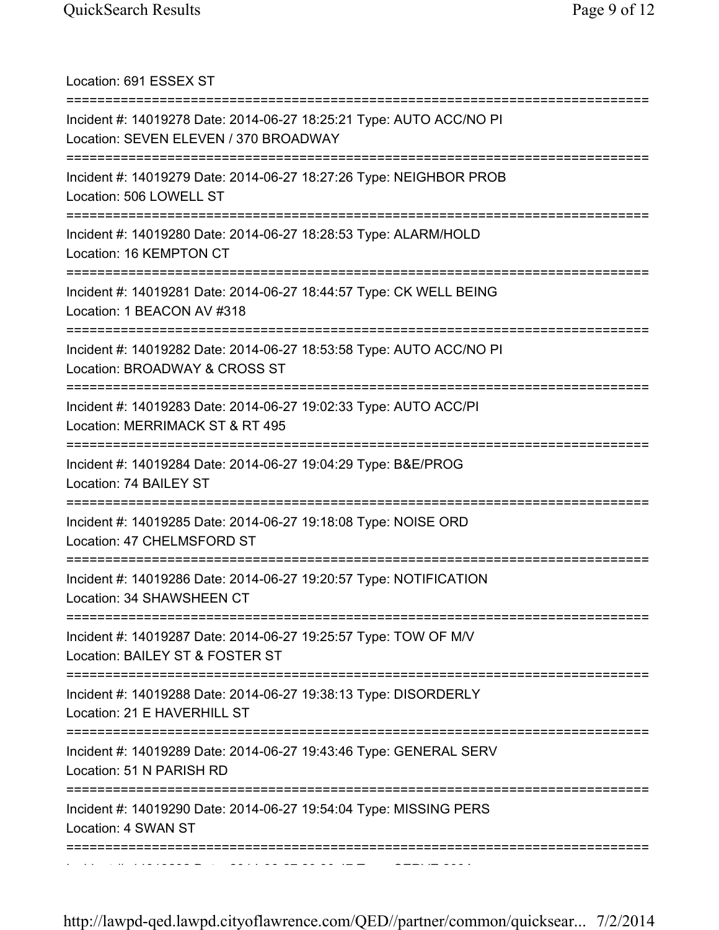Location: 691 ESSEX ST =========================================================================== Incident #: 14019278 Date: 2014-06-27 18:25:21 Type: AUTO ACC/NO PI Location: SEVEN ELEVEN / 370 BROADWAY =========================================================================== Incident #: 14019279 Date: 2014-06-27 18:27:26 Type: NEIGHBOR PROB Location: 506 LOWELL ST =========================================================================== Incident #: 14019280 Date: 2014-06-27 18:28:53 Type: ALARM/HOLD Location: 16 KEMPTON CT =========================================================================== Incident #: 14019281 Date: 2014-06-27 18:44:57 Type: CK WELL BEING Location: 1 BEACON AV #318 =========================================================================== Incident #: 14019282 Date: 2014-06-27 18:53:58 Type: AUTO ACC/NO PI Location: BROADWAY & CROSS ST =========================================================================== Incident #: 14019283 Date: 2014-06-27 19:02:33 Type: AUTO ACC/PI Location: MERRIMACK ST & RT 495 =========================================================================== Incident #: 14019284 Date: 2014-06-27 19:04:29 Type: B&E/PROG Location: 74 BAILEY ST =========================================================================== Incident #: 14019285 Date: 2014-06-27 19:18:08 Type: NOISE ORD Location: 47 CHELMSFORD ST =========================================================================== Incident #: 14019286 Date: 2014-06-27 19:20:57 Type: NOTIFICATION Location: 34 SHAWSHEEN CT =========================================================================== Incident #: 14019287 Date: 2014-06-27 19:25:57 Type: TOW OF M/V Location: BAILEY ST & FOSTER ST =========================================================================== Incident #: 14019288 Date: 2014-06-27 19:38:13 Type: DISORDERLY Location: 21 E HAVERHILL ST =========================================================================== Incident #: 14019289 Date: 2014-06-27 19:43:46 Type: GENERAL SERV Location: 51 N PARISH RD =========================================================================== Incident #: 14019290 Date: 2014-06-27 19:54:04 Type: MISSING PERS Location: 4 SWAN ST ===========================================================================

http://lawpd-qed.lawpd.cityoflawrence.com/QED//partner/common/quicksear... 7/2/2014

Incident #: 14019292 Date: 2014 06 27 20:30:47 Type: SERVE 209A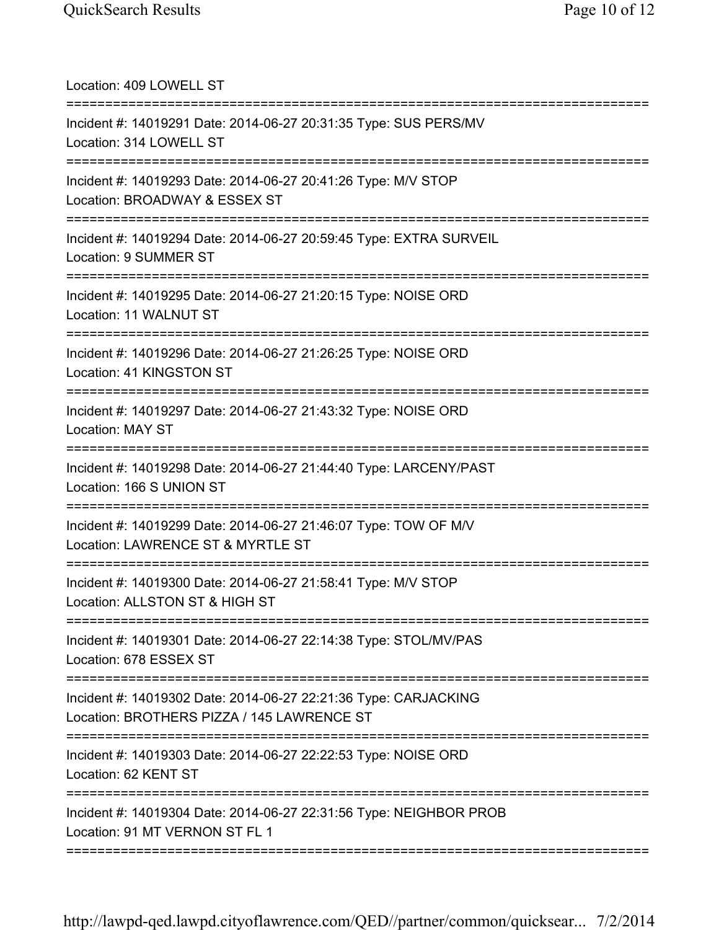| Location: 409 LOWELL ST                                                                                                     |
|-----------------------------------------------------------------------------------------------------------------------------|
| Incident #: 14019291 Date: 2014-06-27 20:31:35 Type: SUS PERS/MV<br>Location: 314 LOWELL ST                                 |
| Incident #: 14019293 Date: 2014-06-27 20:41:26 Type: M/V STOP<br>Location: BROADWAY & ESSEX ST                              |
| Incident #: 14019294 Date: 2014-06-27 20:59:45 Type: EXTRA SURVEIL<br>Location: 9 SUMMER ST                                 |
| Incident #: 14019295 Date: 2014-06-27 21:20:15 Type: NOISE ORD<br>Location: 11 WALNUT ST                                    |
| Incident #: 14019296 Date: 2014-06-27 21:26:25 Type: NOISE ORD<br>Location: 41 KINGSTON ST                                  |
| Incident #: 14019297 Date: 2014-06-27 21:43:32 Type: NOISE ORD<br>Location: MAY ST<br>===================================== |
| Incident #: 14019298 Date: 2014-06-27 21:44:40 Type: LARCENY/PAST<br>Location: 166 S UNION ST                               |
| Incident #: 14019299 Date: 2014-06-27 21:46:07 Type: TOW OF M/V<br>Location: LAWRENCE ST & MYRTLE ST                        |
| Incident #: 14019300 Date: 2014-06-27 21:58:41 Type: M/V STOP<br>Location: ALLSTON ST & HIGH ST                             |
| Incident #: 14019301 Date: 2014-06-27 22:14:38 Type: STOL/MV/PAS<br>Location: 678 ESSEX ST                                  |
| Incident #: 14019302 Date: 2014-06-27 22:21:36 Type: CARJACKING<br>Location: BROTHERS PIZZA / 145 LAWRENCE ST               |
| Incident #: 14019303 Date: 2014-06-27 22:22:53 Type: NOISE ORD<br>Location: 62 KENT ST<br>======================            |
| Incident #: 14019304 Date: 2014-06-27 22:31:56 Type: NEIGHBOR PROB<br>Location: 91 MT VERNON ST FL 1                        |
|                                                                                                                             |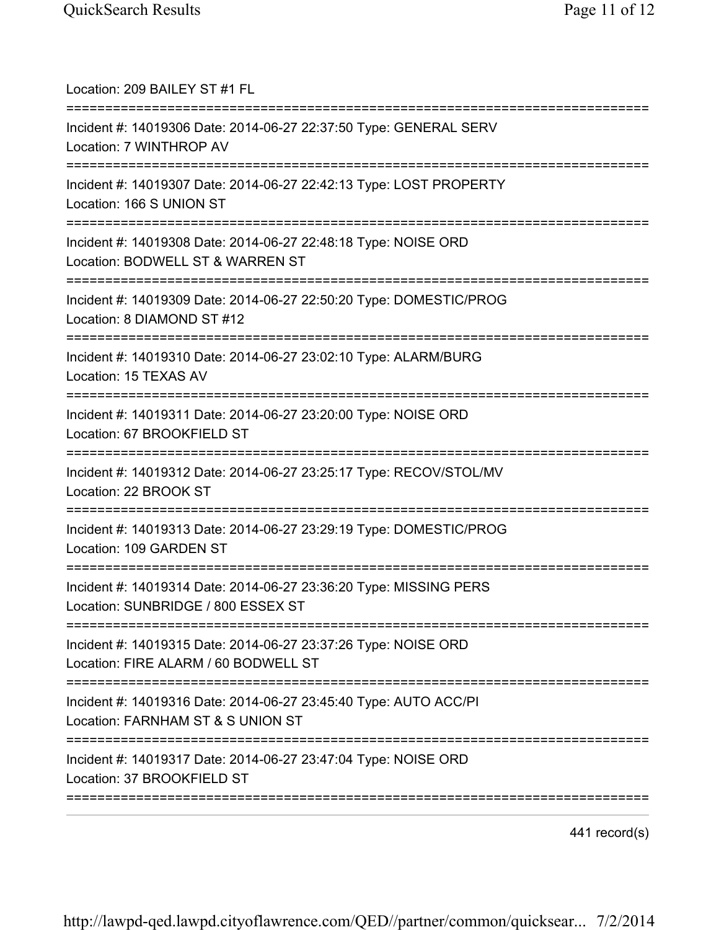| Location: 209 BAILEY ST #1 FL<br>=================================                                                                    |
|---------------------------------------------------------------------------------------------------------------------------------------|
| Incident #: 14019306 Date: 2014-06-27 22:37:50 Type: GENERAL SERV<br>Location: 7 WINTHROP AV<br>===================================== |
| Incident #: 14019307 Date: 2014-06-27 22:42:13 Type: LOST PROPERTY<br>Location: 166 S UNION ST<br>=============================       |
| Incident #: 14019308 Date: 2014-06-27 22:48:18 Type: NOISE ORD<br>Location: BODWELL ST & WARREN ST                                    |
| Incident #: 14019309 Date: 2014-06-27 22:50:20 Type: DOMESTIC/PROG<br>Location: 8 DIAMOND ST #12                                      |
| Incident #: 14019310 Date: 2014-06-27 23:02:10 Type: ALARM/BURG<br>Location: 15 TEXAS AV                                              |
| Incident #: 14019311 Date: 2014-06-27 23:20:00 Type: NOISE ORD<br>Location: 67 BROOKFIELD ST                                          |
| Incident #: 14019312 Date: 2014-06-27 23:25:17 Type: RECOV/STOL/MV<br>Location: 22 BROOK ST                                           |
| Incident #: 14019313 Date: 2014-06-27 23:29:19 Type: DOMESTIC/PROG<br>Location: 109 GARDEN ST                                         |
| Incident #: 14019314 Date: 2014-06-27 23:36:20 Type: MISSING PERS<br>Location: SUNBRIDGE / 800 ESSEX ST                               |
| Incident #: 14019315 Date: 2014-06-27 23:37:26 Type: NOISE ORD<br>Location: FIRE ALARM / 60 BODWELL ST                                |
| Incident #: 14019316 Date: 2014-06-27 23:45:40 Type: AUTO ACC/PI<br>Location: FARNHAM ST & S UNION ST                                 |
| Incident #: 14019317 Date: 2014-06-27 23:47:04 Type: NOISE ORD<br>Location: 37 BROOKFIELD ST                                          |
|                                                                                                                                       |

441 record(s)